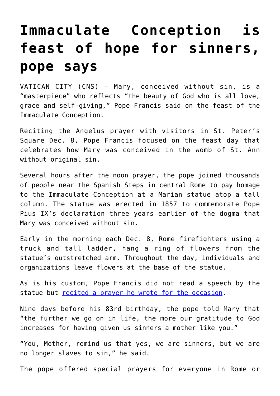## **[Immaculate Conception is](https://www.osvnews.com/2019/12/09/immaculate-conception-is-feast-of-hope-for-sinners-pope-says/) [feast of hope for sinners,](https://www.osvnews.com/2019/12/09/immaculate-conception-is-feast-of-hope-for-sinners-pope-says/) [pope says](https://www.osvnews.com/2019/12/09/immaculate-conception-is-feast-of-hope-for-sinners-pope-says/)**

VATICAN CITY (CNS) — Mary, conceived without sin, is a "masterpiece" who reflects "the beauty of God who is all love, grace and self-giving," Pope Francis said on the feast of the Immaculate Conception.

Reciting the Angelus prayer with visitors in St. Peter's Square Dec. 8, Pope Francis focused on the feast day that celebrates how Mary was conceived in the womb of St. Ann without original sin.

Several hours after the noon prayer, the pope joined thousands of people near the Spanish Steps in central Rome to pay homage to the Immaculate Conception at a Marian statue atop a tall column. The statue was erected in 1857 to commemorate Pope Pius IX's declaration three years earlier of the dogma that Mary was conceived without sin.

Early in the morning each Dec. 8, Rome firefighters using a truck and tall ladder, hang a ring of flowers from the statue's outstretched arm. Throughout the day, individuals and organizations leave flowers at the base of the statue.

As is his custom, Pope Francis did not read a speech by the statue but [recited a prayer he wrote for the occasion](https://www.vaticannews.va/en/pope/news/2019-12/pope-entrusts-sinners-to-mary-in-prayer-for-immaculate-conceptio.html).

Nine days before his 83rd birthday, the pope told Mary that "the further we go on in life, the more our gratitude to God increases for having given us sinners a mother like you."

"You, Mother, remind us that yes, we are sinners, but we are no longer slaves to sin," he said.

The pope offered special prayers for everyone in Rome or